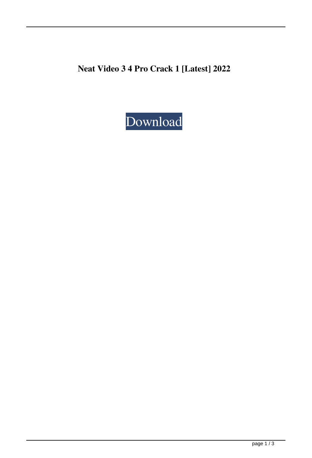**Neat Video 3 4 Pro Crack 1 [Latest] 2022**

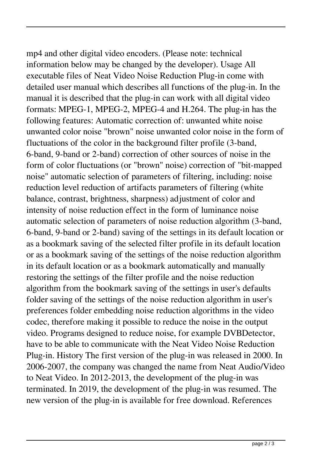mp4 and other digital video encoders. (Please note: technical information below may be changed by the developer). Usage All executable files of Neat Video Noise Reduction Plug-in come with detailed user manual which describes all functions of the plug-in. In the manual it is described that the plug-in can work with all digital video formats: MPEG-1, MPEG-2, MPEG-4 and H.264. The plug-in has the following features: Automatic correction of: unwanted white noise unwanted color noise "brown" noise unwanted color noise in the form of fluctuations of the color in the background filter profile (3-band, 6-band, 9-band or 2-band) correction of other sources of noise in the form of color fluctuations (or "brown" noise) correction of "bit-mapped noise" automatic selection of parameters of filtering, including: noise reduction level reduction of artifacts parameters of filtering (white balance, contrast, brightness, sharpness) adjustment of color and intensity of noise reduction effect in the form of luminance noise automatic selection of parameters of noise reduction algorithm (3-band, 6-band, 9-band or 2-band) saving of the settings in its default location or as a bookmark saving of the selected filter profile in its default location or as a bookmark saving of the settings of the noise reduction algorithm in its default location or as a bookmark automatically and manually restoring the settings of the filter profile and the noise reduction algorithm from the bookmark saving of the settings in user's defaults folder saving of the settings of the noise reduction algorithm in user's preferences folder embedding noise reduction algorithms in the video codec, therefore making it possible to reduce the noise in the output video. Programs designed to reduce noise, for example DVBDetector, have to be able to communicate with the Neat Video Noise Reduction Plug-in. History The first version of the plug-in was released in 2000. In 2006-2007, the company was changed the name from Neat Audio/Video to Neat Video. In 2012-2013, the development of the plug-in was terminated. In 2019, the development of the plug-in was resumed. The new version of the plug-in is available for free download. References